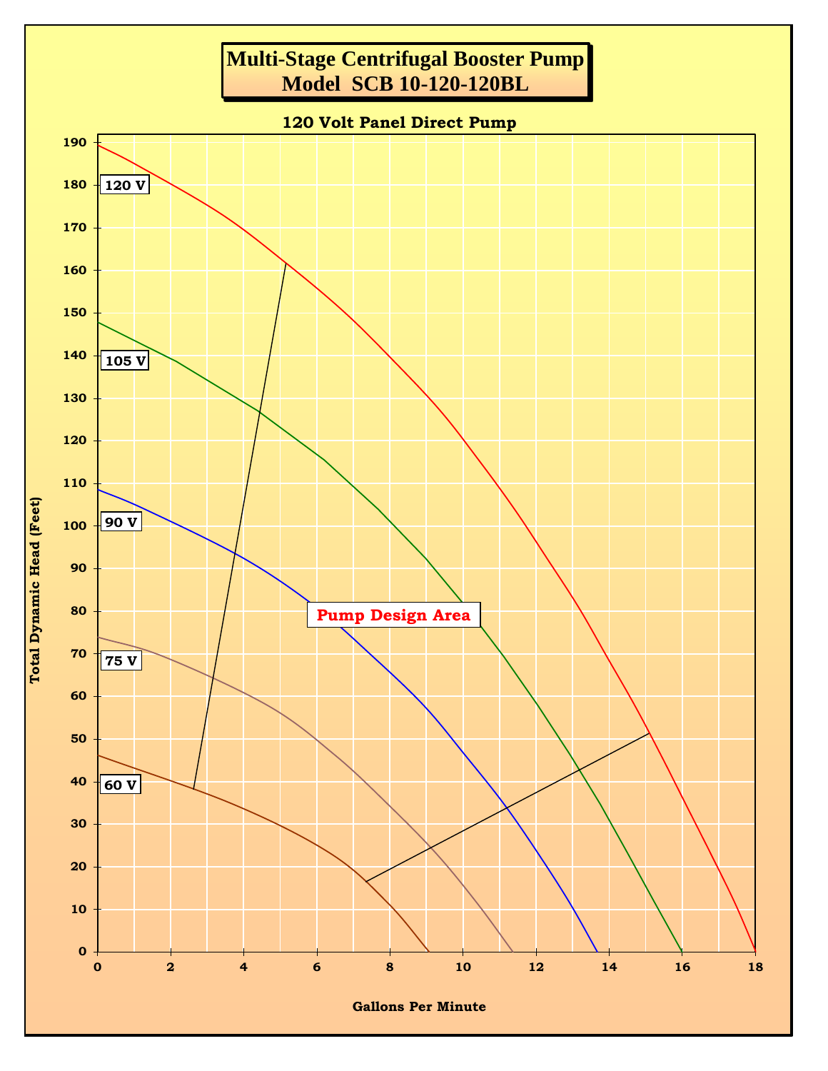